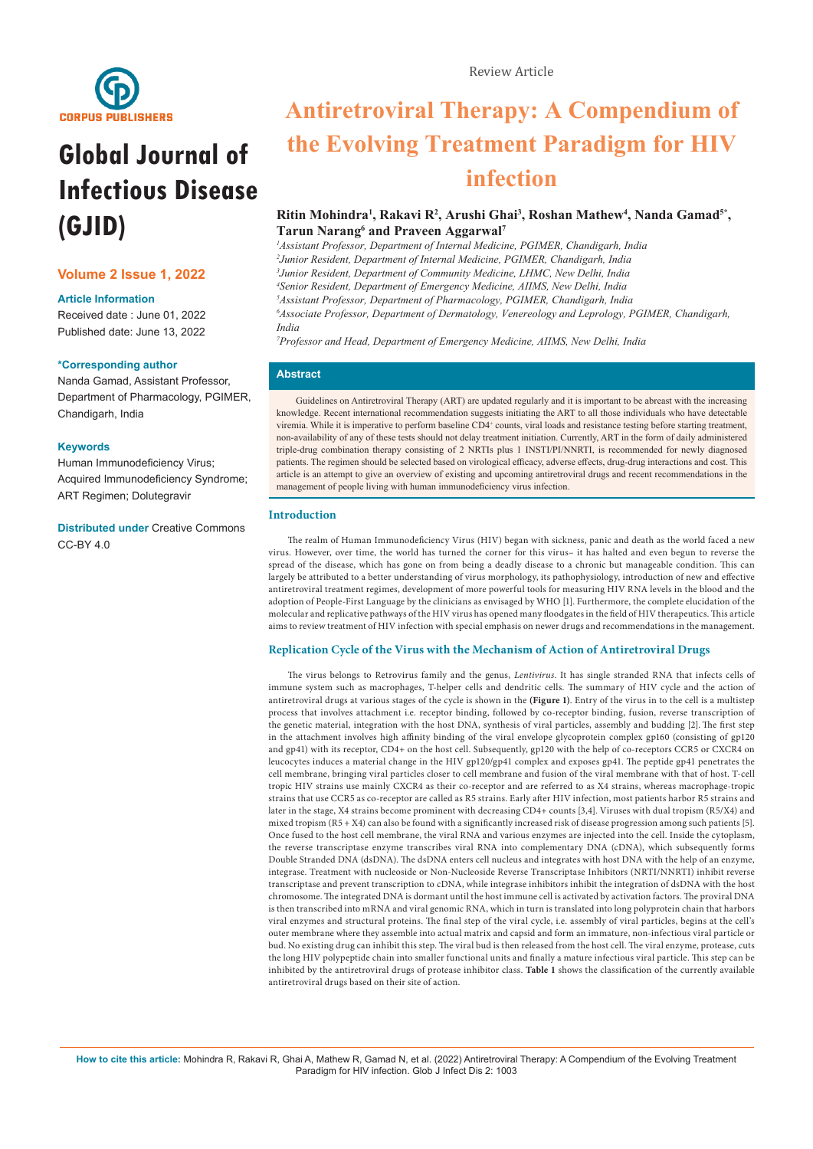

# **Global Journal of Infectious Disease (GJID)**

# **Volume 2 Issue 1, 2022**

# **Article Information**

Received date : June 01, 2022 Published date: June 13, 2022

# **\*Corresponding author**

Nanda Gamad, Assistant Professor, Department of Pharmacology, PGIMER, Chandigarh, India

# **Keywords**

Human Immunodeficiency Virus; Acquired Immunodeficiency Syndrome; ART Regimen; Dolutegravir

**Distributed under** [Creative Commons](https://creativecommons.org/licenses/by/4.0/)   $CC$ -BY 4.0

# **Antiretroviral Therapy: A Compendium of the Evolving Treatment Paradigm for HIV infection**

# Ritin Mohindra<sup>1</sup>, Rakavi R<sup>2</sup>, Arushi Ghai<sup>3</sup>, Roshan Mathew<sup>4</sup>, Nanda Gamad<sup>5\*</sup>, **Tarun Narang**<sup>6</sup> and Praveen Aggarwal<sup>7</sup>

 *Assistant Professor, Department of Internal Medicine, PGIMER, Chandigarh, India Junior Resident, Department of Internal Medicine, PGIMER, Chandigarh, India Junior Resident, Department of Community Medicine, LHMC, New Delhi, India Senior Resident, Department of Emergency Medicine, AIIMS, New Delhi, India Assistant Professor, Department of Pharmacology, PGIMER, Chandigarh, India Associate Professor, Department of Dermatology, Venereology and Leprology, PGIMER, Chandigarh, India*

*7 Professor and Head, Department of Emergency Medicine, AIIMS, New Delhi, India*

# **Abstract**

Guidelines on Antiretroviral Therapy (ART) are updated regularly and it is important to be abreast with the increasing knowledge. Recent international recommendation suggests initiating the ART to all those individuals who have detectable viremia. While it is imperative to perform baseline CD4<sup>+</sup> counts, viral loads and resistance testing before starting treatment, non-availability of any of these tests should not delay treatment initiation. Currently, ART in the form of daily administered triple-drug combination therapy consisting of 2 NRTIs plus 1 INSTI/PI/NNRTI, is recommended for newly diagnosed patients. The regimen should be selected based on virological efficacy, adverse effects, drug-drug interactions and cost. This article is an attempt to give an overview of existing and upcoming antiretroviral drugs and recent recommendations in the management of people living with human immunodeficiency virus infection.

# **Introduction**

The realm of Human Immunodeficiency Virus (HIV) began with sickness, panic and death as the world faced a new virus. However, over time, the world has turned the corner for this virus– it has halted and even begun to reverse the spread of the disease, which has gone on from being a deadly disease to a chronic but manageable condition. This can largely be attributed to a better understanding of virus morphology, its pathophysiology, introduction of new and effective antiretroviral treatment regimes, development of more powerful tools for measuring HIV RNA levels in the blood and the adoption of People-First Language by the clinicians as envisaged by WHO [1]. Furthermore, the complete elucidation of the molecular and replicative pathways of the HIV virus has opened many floodgates in the field of HIV therapeutics. This article aims to review treatment of HIV infection with special emphasis on newer drugs and recommendations in the management.

# **Replication Cycle of the Virus with the Mechanism of Action of Antiretroviral Drugs**

The virus belongs to Retrovirus family and the genus, *Lentivirus*. It has single stranded RNA that infects cells of immune system such as macrophages, T-helper cells and dendritic cells. The summary of HIV cycle and the action of antiretroviral drugs at various stages of the cycle is shown in the **(Figure 1)**. Entry of the virus in to the cell is a multistep process that involves attachment i.e. receptor binding, followed by co-receptor binding, fusion, reverse transcription of the genetic material, integration with the host DNA, synthesis of viral particles, assembly and budding [2]. The first step in the attachment involves high affinity binding of the viral envelope glycoprotein complex gp160 (consisting of gp120 and gp41) with its receptor, CD4+ on the host cell. Subsequently, gp120 with the help of co-receptors CCR5 or CXCR4 on leucocytes induces a material change in the HIV gp120/gp41 complex and exposes gp41. The peptide gp41 penetrates the cell membrane, bringing viral particles closer to cell membrane and fusion of the viral membrane with that of host. T-cell tropic HIV strains use mainly CXCR4 as their co-receptor and are referred to as X4 strains, whereas macrophage-tropic strains that use CCR5 as co-receptor are called as R5 strains. Early after HIV infection, most patients harbor R5 strains and later in the stage, X4 strains become prominent with decreasing CD4+ counts [3,4]. Viruses with dual tropism (R5/X4) and mixed tropism (R5 + X4) can also be found with a significantly increased risk of disease progression among such patients [5]. Once fused to the host cell membrane, the viral RNA and various enzymes are injected into the cell. Inside the cytoplasm, the reverse transcriptase enzyme transcribes viral RNA into complementary DNA (cDNA), which subsequently forms Double Stranded DNA (dsDNA). The dsDNA enters cell nucleus and integrates with host DNA with the help of an enzyme, integrase. Treatment with nucleoside or Non-Nucleoside Reverse Transcriptase Inhibitors (NRTI/NNRTI) inhibit reverse transcriptase and prevent transcription to cDNA, while integrase inhibitors inhibit the integration of dsDNA with the host chromosome. The integrated DNA is dormant until the host immune cell is activated by activation factors. The proviral DNA is then transcribed into mRNA and viral genomic RNA, which in turn is translated into long polyprotein chain that harbors viral enzymes and structural proteins. The final step of the viral cycle, i.e. assembly of viral particles, begins at the cell's outer membrane where they assemble into actual matrix and capsid and form an immature, non-infectious viral particle or bud. No existing drug can inhibit this step. The viral bud is then released from the host cell. The viral enzyme, protease, cuts the long HIV polypeptide chain into smaller functional units and finally a mature infectious viral particle. This step can be inhibited by the antiretroviral drugs of protease inhibitor class. **Table 1** shows the classification of the currently available antiretroviral drugs based on their site of action.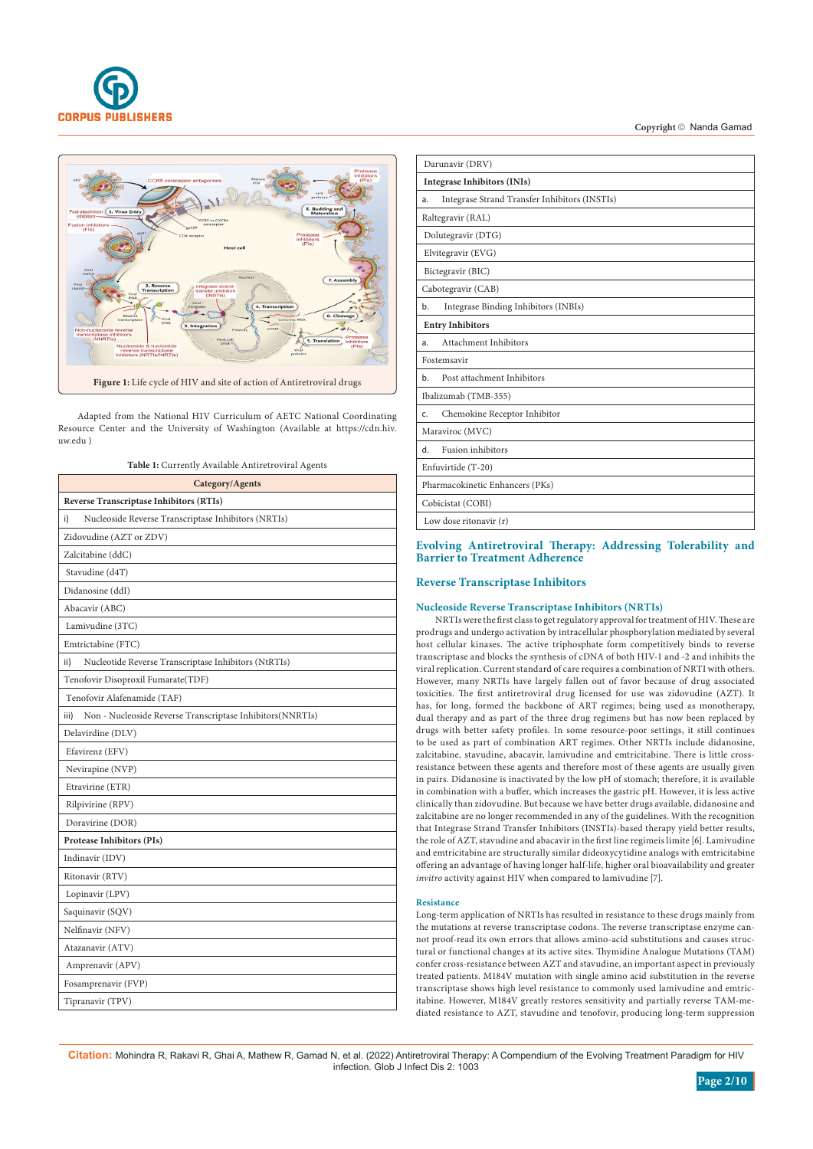



Adapted from the National HIV Curriculum of AETC National Coordinating Resource Center and the University of Washington (Available at https://cdn.hiv. uw.edu )

**Table 1:** Currently Available Antiretroviral Agents

| Category/Agents                                                   |  |  |  |  |
|-------------------------------------------------------------------|--|--|--|--|
| <b>Reverse Transcriptase Inhibitors (RTIs)</b>                    |  |  |  |  |
| Nucleoside Reverse Transcriptase Inhibitors (NRTIs)<br>i)         |  |  |  |  |
| Zidovudine (AZT or ZDV)                                           |  |  |  |  |
| Zalcitabine (ddC)                                                 |  |  |  |  |
| Stavudine (d4T)                                                   |  |  |  |  |
| Didanosine (ddI)                                                  |  |  |  |  |
| Abacavir (ABC)                                                    |  |  |  |  |
| Lamivudine (3TC)                                                  |  |  |  |  |
| Emtrictabine (FTC)                                                |  |  |  |  |
| Nucleotide Reverse Transcriptase Inhibitors (NtRTIs)<br>ii)       |  |  |  |  |
| Tenofovir Disoproxil Fumarate(TDF)                                |  |  |  |  |
| Tenofovir Alafenamide (TAF)                                       |  |  |  |  |
| Non - Nucleoside Reverse Transcriptase Inhibitors(NNRTIs)<br>iii) |  |  |  |  |
| Delavirdine (DLV)                                                 |  |  |  |  |
| Efavirenz (EFV)                                                   |  |  |  |  |
| Nevirapine (NVP)                                                  |  |  |  |  |
| Etravirine (ETR)                                                  |  |  |  |  |
| Rilpivirine (RPV)                                                 |  |  |  |  |
| Doravirine (DOR)                                                  |  |  |  |  |
| <b>Protease Inhibitors (PIs)</b>                                  |  |  |  |  |
| Indinavir (IDV)                                                   |  |  |  |  |
| Ritonavir (RTV)                                                   |  |  |  |  |
| Lopinavir (LPV)                                                   |  |  |  |  |
| Saquinavir (SQV)                                                  |  |  |  |  |
| Nelfinavir (NFV)                                                  |  |  |  |  |
| Atazanavir (ATV)                                                  |  |  |  |  |
| Amprenavir (APV)                                                  |  |  |  |  |
| Fosamprenavir (FVP)                                               |  |  |  |  |
| Tipranavir (TPV)                                                  |  |  |  |  |

| Darunavir (DRV)                                     |
|-----------------------------------------------------|
| <b>Integrase Inhibitors (INIs)</b>                  |
| Integrase Strand Transfer Inhibitors (INSTIs)<br>a. |
| Raltegravir (RAL)                                   |
| Dolutegravir (DTG)                                  |
| Elvitegravir (EVG)                                  |
| Bictegravir (BIC)                                   |
| Cabotegravir (CAB)                                  |
| Integrase Binding Inhibitors (INBIs)<br>b.          |
| <b>Entry Inhibitors</b>                             |
| Attachment Inhibitors<br>a.                         |
| Fostemsavir                                         |
| Post attachment Inhibitors<br>b.                    |
| Ibalizumab (TMB-355)                                |
| Chemokine Receptor Inhibitor<br>$C_{\cdot}$         |
| Maraviroc (MVC)                                     |
| <b>Fusion</b> inhibitors<br>d.                      |
| Enfuvirtide (T-20)                                  |
| Pharmacokinetic Enhancers (PKs)                     |
| Cobicistat (COBI)                                   |
| Low dose ritonavir (r)                              |

# **Evolving Antiretroviral Therapy: Addressing Tolerability and Barrier to Treatment Adherence**

# **Reverse Transcriptase Inhibitors**

# **Nucleoside Reverse Transcriptase Inhibitors (NRTIs)**

NRTIs were the first class to get regulatory approval for treatment of HIV. These are prodrugs and undergo activation by intracellular phosphorylation mediated by several host cellular kinases. The active triphosphate form competitively binds to reverse transcriptase and blocks the synthesis of cDNA of both HIV-1 and -2 and inhibits the viral replication. Current standard of care requires a combination of NRTI with others. However, many NRTIs have largely fallen out of favor because of drug associated toxicities. The first antiretroviral drug licensed for use was zidovudine (AZT). It has, for long, formed the backbone of ART regimes; being used as monotherapy, dual therapy and as part of the three drug regimens but has now been replaced by drugs with better safety profiles. In some resource-poor settings, it still continues to be used as part of combination ART regimes. Other NRTIs include didanosine, zalcitabine, stavudine, abacavir, lamivudine and emtricitabine. There is little crossresistance between these agents and therefore most of these agents are usually given in pairs. Didanosine is inactivated by the low pH of stomach; therefore, it is available in combination with a buffer, which increases the gastric pH. However, it is less active clinically than zidovudine. But because we have better drugs available, didanosine and zalcitabine are no longer recommended in any of the guidelines. With the recognition that Integrase Strand Transfer Inhibitors (INSTIs)-based therapy yield better results, the role of AZT, stavudine and abacavir in the first line regimeis limite [6]. Lamivudine and emtricitabine are structurally similar dideoxycytidine analogs with emtricitabine offering an advantage of having longer half-life, higher oral bioavailability and greater *invitro* activity against HIV when compared to lamivudine [7].

#### **Resistance**

Long-term application of NRTIs has resulted in resistance to these drugs mainly from the mutations at reverse transcriptase codons. The reverse transcriptase enzyme cannot proof-read its own errors that allows amino-acid substitutions and causes structural or functional changes at its active sites. Thymidine Analogue Mutations (TAM) confer cross-resistance between AZT and stavudine, an important aspect in previously treated patients. M184V mutation with single amino acid substitution in the reverse transcriptase shows high level resistance to commonly used lamivudine and emtricitabine. However, M184V greatly restores sensitivity and partially reverse TAM-mediated resistance to AZT, stavudine and tenofovir, producing long-term suppression

**Citation:** Mohindra R, Rakavi R, Ghai A, Mathew R, Gamad N, et al. (2022) Antiretroviral Therapy: A Compendium of the Evolving Treatment Paradigm for HIV infection. Glob J Infect Dis 2: 1003

**Page 2/10**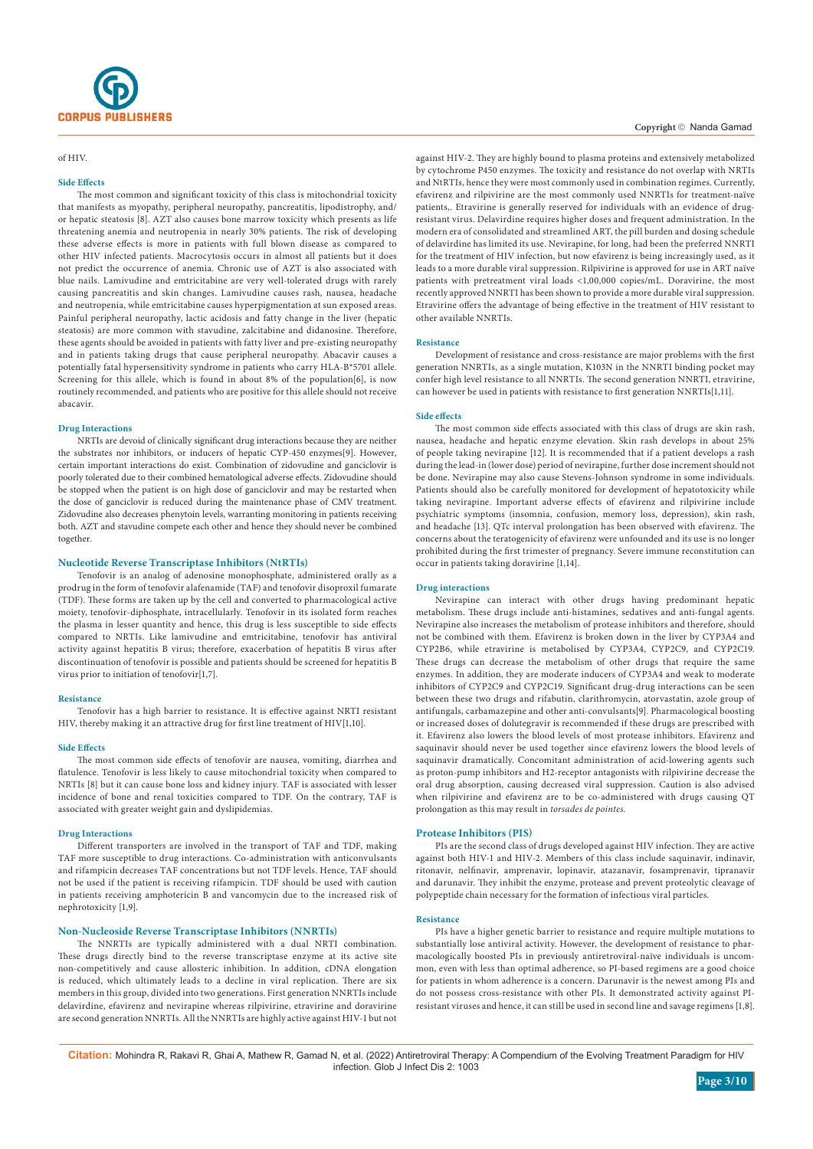

# of HIV.

## **Side Effects**

The most common and significant toxicity of this class is mitochondrial toxicity that manifests as myopathy, peripheral neuropathy, pancreatitis, lipodistrophy, and/ or hepatic steatosis [8]. AZT also causes bone marrow toxicity which presents as life threatening anemia and neutropenia in nearly 30% patients. The risk of developing these adverse effects is more in patients with full blown disease as compared to other HIV infected patients. Macrocytosis occurs in almost all patients but it does not predict the occurrence of anemia. Chronic use of AZT is also associated with blue nails. Lamivudine and emtricitabine are very well-tolerated drugs with rarely causing pancreatitis and skin changes. Lamivudine causes rash, nausea, headache and neutropenia, while emtricitabine causes hyperpigmentation at sun exposed areas. Painful peripheral neuropathy, lactic acidosis and fatty change in the liver (hepatic steatosis) are more common with stavudine, zalcitabine and didanosine. Therefore, these agents should be avoided in patients with fatty liver and pre-existing neuropathy and in patients taking drugs that cause peripheral neuropathy. Abacavir causes a potentially fatal hypersensitivity syndrome in patients who carry HLA-B\*5701 allele. Screening for this allele, which is found in about 8% of the population[6], is now routinely recommended, and patients who are positive for this allele should not receive abacavir.

#### **Drug Interactions**

NRTIs are devoid of clinically significant drug interactions because they are neither the substrates nor inhibitors, or inducers of hepatic CYP-450 enzymes[9]. However, certain important interactions do exist. Combination of zidovudine and ganciclovir is poorly tolerated due to their combined hematological adverse effects. Zidovudine should be stopped when the patient is on high dose of ganciclovir and may be restarted when the dose of ganciclovir is reduced during the maintenance phase of CMV treatment. Zidovudine also decreases phenytoin levels, warranting monitoring in patients receiving both. AZT and stavudine compete each other and hence they should never be combined together.

## **Nucleotide Reverse Transcriptase Inhibitors (NtRTIs)**

Tenofovir is an analog of adenosine monophosphate, administered orally as a prodrug in the form of tenofovir alafenamide (TAF) and tenofovir disoproxil fumarate (TDF). These forms are taken up by the cell and converted to pharmacological active moiety, tenofovir-diphosphate, intracellularly. Tenofovir in its isolated form reaches the plasma in lesser quantity and hence, this drug is less susceptible to side effects compared to NRTIs. Like lamivudine and emtricitabine, tenofovir has antiviral activity against hepatitis B virus; therefore, exacerbation of hepatitis B virus after discontinuation of tenofovir is possible and patients should be screened for hepatitis B virus prior to initiation of tenofovir[1,7].

#### **Resistance**

Tenofovir has a high barrier to resistance. It is effective against NRTI resistant HIV, thereby making it an attractive drug for first line treatment of HIV[1,10].

#### **Side Effects**

The most common side effects of tenofovir are nausea, vomiting, diarrhea and flatulence. Tenofovir is less likely to cause mitochondrial toxicity when compared to NRTIs [8] but it can cause bone loss and kidney injury. TAF is associated with lesser incidence of bone and renal toxicities compared to TDF. On the contrary, TAF is associated with greater weight gain and dyslipidemias.

#### **Drug Interactions**

Different transporters are involved in the transport of TAF and TDF, making TAF more susceptible to drug interactions. Co-administration with anticonvulsants and rifampicin decreases TAF concentrations but not TDF levels. Hence, TAF should not be used if the patient is receiving rifampicin. TDF should be used with caution in patients receiving amphotericin B and vancomycin due to the increased risk of nephrotoxicity [1,9].

# **Non-Nucleoside Reverse Transcriptase Inhibitors (NNRTIs)**

The NNRTIs are typically administered with a dual NRTI combination. These drugs directly bind to the reverse transcriptase enzyme at its active site non-competitively and cause allosteric inhibition. In addition, cDNA elongation is reduced, which ultimately leads to a decline in viral replication. There are six members in this group, divided into two generations. First generation NNRTIs include delavirdine, [efavirenz](https://www.uptodate.com/contents/efavirenz-drug-information?source=see_link) and [nevirapine](https://www.uptodate.com/contents/nevirapine-drug-information?source=see_link) whereas rilpivirine, etravirine and doravirine are second generation NNRTIs. All the NNRTIs are highly active against HIV-1 but not

## Copyright © Nanda Gamad

against HIV-2. They are highly bound to plasma proteins and extensively metabolized by cytochrome P450 enzymes. The toxicity and resistance do not overlap with NRTIs and NtRTIs, hence they were most commonly used in combination regimes. Currently, efavirenz and rilpivirine are the most commonly used NNRTIs for treatment-naïve patients,. Etravirine is generally reserved for individuals with an evidence of drugresistant virus. Delavirdine requires higher doses and frequent administration. In the modern era of consolidated and streamlined ART, the pill burden and dosing schedule of delavirdine has limited its use. Nevirapine, for long, had been the preferred NNRTI for the treatment of HIV infection, but now efavirenz is being increasingly used, as it leads to a more durable viral suppression. Rilpivirine is approved for use in ART naïve patients with pretreatment viral loads <1,00,000 copies/mL. Doravirine, the most recently approved NNRTI has been shown to provide a more durable viral suppression. Etravirine offers the advantage of being effective in the treatment of HIV resistant to other available NNRTIs.

#### **Resistance**

Development of resistance and cross-resistance are major problems with the first generation NNRTIs, as a single mutation, K103N in the NNRTI binding pocket may confer high level resistance to all NNRTIs. The second generation NNRTI, [etravirine](https://www.uptodate.com/contents/etravirine-drug-information?source=see_link), can however be used in patients with resistance to first generation NNRTIs[1,11].

#### **Side effects**

The most common side effects associated with this class of drugs are skin rash, nausea, headache and hepatic enzyme elevation. Skin rash develops in about 25% of people taking nevirapine [12]. It is recommended that if a patient develops a rash during the lead-in (lower dose) period of nevirapine, further dose increment should not be done. Nevirapine may also cause Stevens-Johnson syndrome in some individuals. Patients should also be carefully monitored for development of hepatotoxicity while taking nevirapine. Important adverse effects of efavirenz and rilpivirine include psychiatric symptoms (insomnia, confusion, memory loss, depression), skin rash, and headache [13]. QTc interval prolongation has been observed with efavirenz. The concerns about the teratogenicity of efavirenz were unfounded and its use is no longer prohibited during the first trimester of pregnancy. Severe immune reconstitution can occur in patients taking doravirine [1,14].

## **Drug interactions**

Nevirapine can interact with other drugs having predominant hepatic metabolism. These drugs include anti-histamines, sedatives and anti-fungal agents. Nevirapine also increases the metabolism of protease inhibitors and therefore, should not be combined with them. Efavirenz is broken down in the liver by CYP3A4 and CYP2B6, while etravirine is metabolised by CYP3A4, CYP2C9, and CYP2C19. These drugs can decrease the metabolism of other drugs that require the same enzymes. In addition, they are moderate inducers of CYP3A4 and weak to moderate inhibitors of CYP2C9 and CYP2C19. Significant drug-drug interactions can be seen between these two drugs and rifabutin, clarithromycin, atorvastatin, azole group of antifungals, carbamazepine and other anti-convulsants[9]. Pharmacological boosting or increased doses of dolutegravir is recommended if these drugs are prescribed with it. Efavirenz also lowers the blood levels of most protease inhibitors. Efavirenz and saquinavir should never be used together since efavirenz lowers the blood levels of saquinavir dramatically. Concomitant administration of acid-lowering agents such as proton-pump inhibitors and H2-receptor antagonists with rilpivirine decrease the oral drug absorption, causing decreased viral suppression. Caution is also advised when rilpivirine and efavirenz are to be co-administered with drugs causing QT prolongation as this may result in *torsades de pointes.*

#### **Protease Inhibitors (PIS)**

PIs are the second class of drugs developed against HIV infection. They are active against both HIV-1 and HIV-2. Members of this class include saquinavir, indinavir, ritonavir, nelfinavir, amprenavir, lopinavir, atazanavir, fosamprenavir, tipranavir and darunavir. They inhibit the enzyme, protease and prevent proteolytic cleavage of polypeptide chain necessary for the formation of infectious viral particles.

#### **Resistance**

PIs have a higher genetic barrier to resistance and require multiple mutations to substantially lose antiviral activity. However, the development of resistance to pharmacologically boosted PIs in previously antiretroviral-naïve individuals is uncommon, even with less than optimal adherence, so PI-based regimens are a good choice for patients in whom adherence is a concern. Darunavir is the newest among PIs and do not possess cross-resistance with other PIs. It demonstrated activity against PIresistant viruses and hence, it can still be used in second line and savage regimens [1,8].

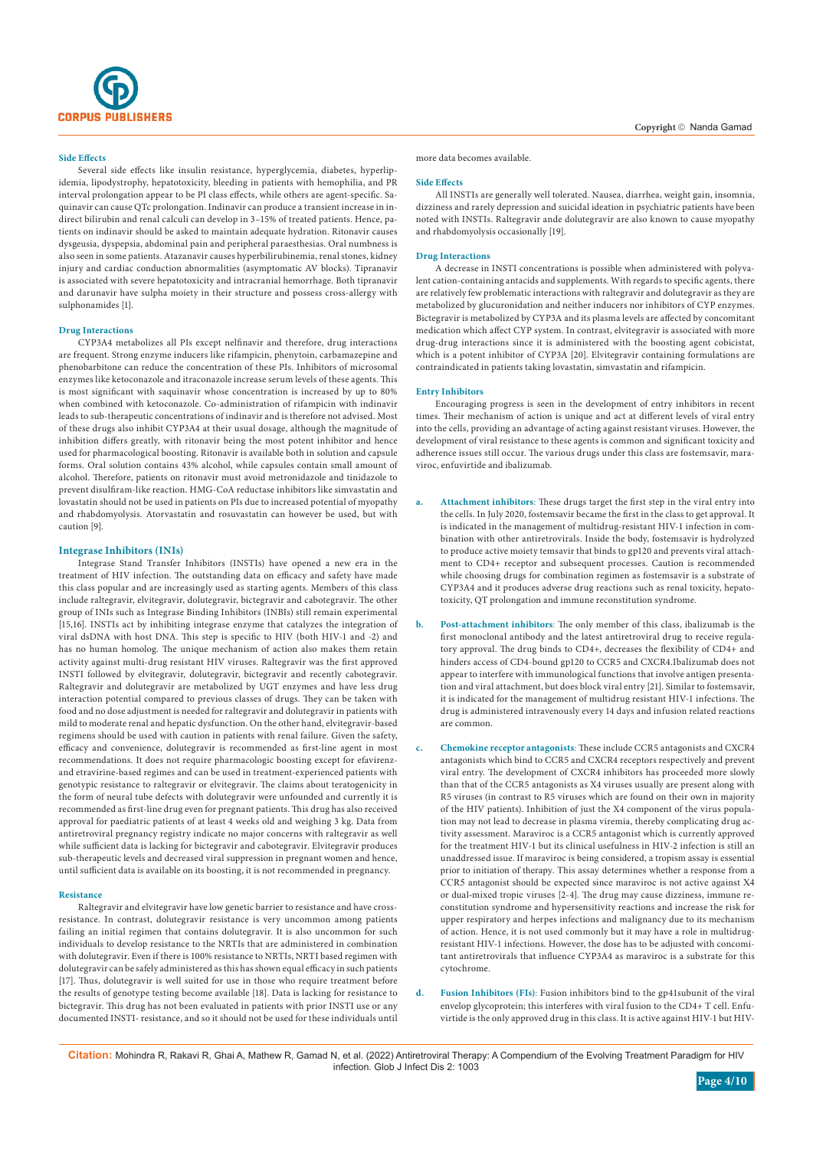

Several side effects like insulin resistance, hyperglycemia, diabetes, hyperlipidemia, lipodystrophy, hepatotoxicity, bleeding in patients with hemophilia, and PR interval prolongation appear to be PI class effects, while others are agent-specific. Saquinavir can cause QTc prolongation. Indinavir can produce a transient increase in indirect bilirubin and renal calculi can develop in 3–15% of treated patients. Hence, patients on indinavir should be asked to maintain adequate hydration. Ritonavir causes dysgeusia, dyspepsia, abdominal pain and peripheral paraesthesias. Oral numbness is also seen in some patients. Atazanavir causes hyperbilirubinemia, renal stones, kidney injury and cardiac conduction abnormalities (asymptomatic AV blocks). Tipranavir is associated with severe hepatotoxicity and intracranial hemorrhage. Both tipranavir and darunavir have sulpha moiety in their structure and possess cross-allergy with sulphonamides [1].

#### **Drug Interactions**

CYP3A4 metabolizes all PIs except nelfinavir and therefore, drug interactions are frequent. Strong enzyme inducers like rifampicin, phenytoin, carbamazepine and phenobarbitone can reduce the concentration of these PIs. Inhibitors of microsomal enzymes like ketoconazole and itraconazole increase serum levels of these agents. This is most significant with saquinavir whose concentration is increased by up to 80% when combined with ketoconazole. Co-administration of rifampicin with indinavir leads to sub-therapeutic concentrations of indinavir and is therefore not advised. Most of these drugs also inhibit CYP3A4 at their usual dosage, although the magnitude of inhibition differs greatly, with ritonavir being the most potent inhibitor and hence used for pharmacological boosting. Ritonavir is available both in solution and capsule forms. Oral solution contains 43% alcohol, while capsules contain small amount of alcohol. Therefore, patients on ritonavir must avoid metronidazole and tinidazole to prevent disulfiram-like reaction. HMG-CoA reductase inhibitors like simvastatin and lovastatin should not be used in patients on PIs due to increased potential of myopathy and rhabdomyolysis. Atorvastatin and rosuvastatin can however be used, but with caution [9].

#### **Integrase Inhibitors (INIs)**

Integrase Stand Transfer Inhibitors (INSTIs) have opened a new era in the treatment of HIV infection. The outstanding data on efficacy and safety have made this class popular and are increasingly used as starting agents. Members of this class include raltegravir, elvitegravir, dolutegravir, bictegravir and cabotegravir. The other group of INIs such as Integrase Binding Inhibitors (INBIs) still remain experimental [15,16]. INSTIs act by inhibiting integrase enzyme that catalyzes the integration of viral dsDNA with host DNA. This step is specific to HIV (both HIV-1 and -2) and has no human homolog. The unique mechanism of action also makes them retain activity against multi-drug resistant HIV viruses. Raltegravir was the first approved INSTI followed by elvitegravir, dolutegravir, bictegravir and recently cabotegravir. Raltegravir and dolutegravir are metabolized by UGT enzymes and have less drug interaction potential compared to previous classes of drugs. They can be taken with food and no dose adjustment is needed for raltegravir and dolutegravir in patients with mild to moderate renal and hepatic dysfunction. On the other hand, elvitegravir-based regimens should be used with caution in patients with renal failure. Given the safety, efficacy and convenience, dolutegravir is recommended as first-line agent in most recommendations. It does not require pharmacologic boosting except for efavirenzand etravirine-based regimes and can be used in treatment-experienced patients with genotypic resistance to raltegravir or elvitegravir. The claims about teratogenicity in the form of neural tube defects with dolutegravir were unfounded and currently it is recommended as first-line drug even for pregnant patients. This drug has also received approval for paediatric patients of at least 4 weeks old and weighing 3 kg. Data from antiretroviral pregnancy registry indicate no major concerns with raltegravir as well while sufficient data is lacking for bictegravir and cabotegravir. Elvitegravir produces sub-therapeutic levels and decreased viral suppression in pregnant women and hence, until sufficient data is available on its boosting, it is not recommended in pregnancy.

#### **Resistance**

Raltegravir and elvitegravir have low genetic barrier to resistance and have crossresistance. In contrast, dolutegravir resistance is very uncommon among patients failing an initial regimen that contains dolutegravir. It is also uncommon for such individuals to develop resistance to the NRTIs that are administered in combination with dolutegravir. Even if there is 100% resistance to NRTIs, NRTI based regimen with dolutegravir can be safely administered as this has shown equal efficacy in such patients [17]. Thus, dolutegravir is well suited for use in those who require treatment before the results of genotype testing become available [18]. Data is lacking for resistance to bictegravir. This drug has not been evaluated in patients with prior INSTI use or any documented INSTI- resistance, and so it should not be used for these individuals until

more data becomes available.

#### **Side Effects**

All INSTIs are generally well tolerated. Nausea, diarrhea, weight gain, insomnia, dizziness and rarely depression and suicidal ideation in psychiatric patients have been noted with INSTIs. Raltegravir ande dolutegravir are also known to cause myopathy and rhabdomyolysis occasionally [19].

#### **Drug Interactions**

A decrease in INSTI concentrations is possible when administered with polyvalent cation-containing antacids and supplements. With regards to specific agents, there are relatively few problematic interactions with raltegravir and dolutegravir as they are metabolized by glucuronidation and neither inducers nor inhibitors of CYP enzymes. Bictegravir is metabolized by CYP3A and its plasma levels are affected by concomitant medication which affect CYP system. In contrast, elvitegravir is associated with more drug-drug interactions since it is administered with the boosting agent cobicistat, which is a potent inhibitor of CYP3A [20]. Elvitegravir containing formulations are contraindicated in patients taking lovastatin, simvastatin and rifampicin.

#### **Entry Inhibitors**

Encouraging progress is seen in the development of entry inhibitors in recent times. Their mechanism of action is unique and act at different levels of viral entry into the cells, providing an advantage of acting against resistant viruses. However, the development of viral resistance to these agents is common and significant toxicity and adherence issues still occur. The various drugs under this class are fostemsavir, maraviroc, enfuvirtide and ibalizumab.

- **a. Attachment inhibitors**: These drugs target the first step in the viral entry into the cells. In July 2020, fostemsavir became the first in the class to get approval. It is indicated in the management of multidrug-resistant HIV-1 infection in combination with other antiretrovirals. Inside the body, fostemsavir is hydrolyzed to produce active moiety temsavir that binds to gp120 and prevents viral attachment to CD4+ receptor and subsequent processes. Caution is recommended while choosing drugs for combination regimen as fostemsavir is a substrate of CYP3A4 and it produces adverse drug reactions such as renal toxicity, hepatotoxicity, QT prolongation and immune reconstitution syndrome.
- **b. Post-attachment inhibitors**: The only member of this class, ibalizumab is the first monoclonal antibody and the latest antiretroviral drug to receive regulatory approval. The drug binds to CD4+, decreases the flexibility of CD4+ and hinders access of CD4-bound gp120 to CCR5 and CXCR4.Ibalizumab does not appear to interfere with immunological functions that involve antigen presentation and viral attachment, but does block viral entry [21]. Similar to fostemsavir, it is indicated for the management of multidrug resistant HIV-1 infections. The drug is administered intravenously every 14 days and infusion related reactions are common.
- **c. Chemokine receptor antagonists**: These include CCR5 antagonists and CXCR4 antagonists which bind to CCR5 and CXCR4 receptors respectively and prevent viral entry. The development of CXCR4 inhibitors has proceeded more slowly than that of the CCR5 antagonists as X4 viruses usually are present along with R5 viruses (in contrast to R5 viruses which are found on their own in majority of the HIV patients). Inhibition of just the X4 component of the virus population may not lead to decrease in plasma viremia, thereby complicating drug activity assessment. Maraviroc is a CCR5 antagonist which is currently approved for the treatment HIV-1 but its clinical usefulness in HIV-2 infection is still an unaddressed issue. If maraviroc is being considered, a tropism assay is essential prior to initiation of therapy. This assay determines whether a response from a CCR5 antagonist should be expected since maraviroc is not active against X4 or dual-mixed tropic viruses [2-4]. The drug may cause dizziness, immune reconstitution syndrome and hypersensitivity reactions and increase the risk for upper respiratory and herpes infections and malignancy due to its mechanism of action. Hence, it is not used commonly but it may have a role in multidrugresistant HIV-1 infections. However, the dose has to be adjusted with concomitant antiretrovirals that influence CYP3A4 as maraviroc is a substrate for this cytochrome.
- **d. Fusion Inhibitors (FIs)**: Fusion inhibitors bind to the gp41subunit of the viral envelop glycoprotein; this interferes with viral fusion to the CD4+ T cell. Enfuvirtide is the only approved drug in this class. It is active against HIV-1 but HIV-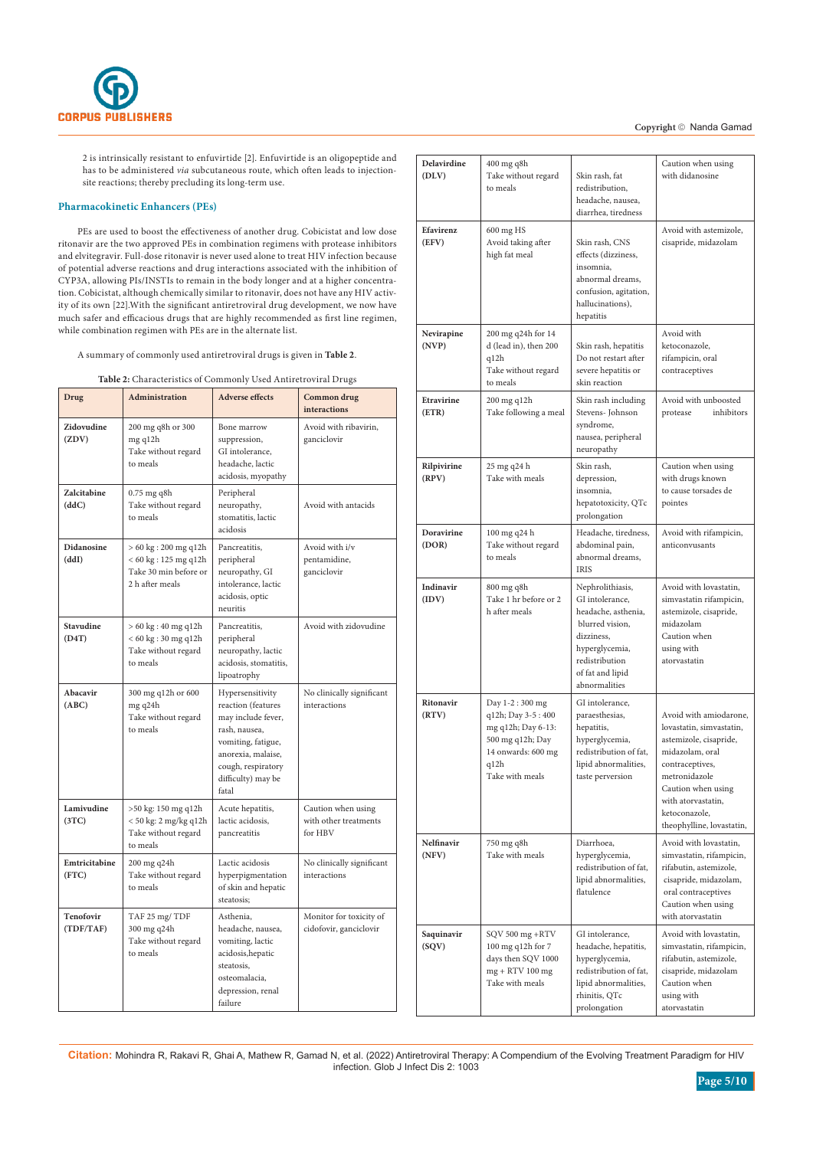

2 is intrinsically resistant to enfuvirtide [2]. Enfuvirtide is an oligopeptide and has to be administered *via* subcutaneous route, which often leads to injectionsite reactions; thereby precluding its long-term use.

# **Pharmacokinetic Enhancers (PEs)**

PEs are used to boost the effectiveness of another drug. Cobicistat and low dose ritonavir are the two approved PEs in combination regimens with protease inhibitors and elvitegravir. Full-dose ritonavir is never used alone to treat HIV infection because of potential adverse reactions and drug interactions associated with the inhibition of CYP3A, allowing PIs/INSTIs to remain in the body longer and at a higher concentration. Cobicistat, although chemically similar to ritonavir, does not have any HIV activity of its own [22].With the significant antiretroviral drug development, we now have much safer and efficacious drugs that are highly recommended as first line regimen, while combination regimen with PEs are in the alternate list.

A summary of commonly used antiretroviral drugs is given in **Table 2**.

**Table 2:** Characteristics of Commonly Used Antiretroviral Drugs

| Drug                       | <b>Administration</b>                                                                                          | <b>Adverse effects</b>                                                                                                                                                         | Common drug<br><b>interactions</b>                     |
|----------------------------|----------------------------------------------------------------------------------------------------------------|--------------------------------------------------------------------------------------------------------------------------------------------------------------------------------|--------------------------------------------------------|
| Zidovudine<br>(ZDV)        | 200 mg q8h or 300<br>mg q12h<br>Take without regard<br>to meals                                                | Bone marrow<br>suppression,<br>GI intolerance.<br>headache, lactic<br>acidosis, myopathy                                                                                       | Avoid with ribavirin.<br>ganciclovir                   |
| Zalcitabine<br>(ddC)       | $0.75$ mg q8h<br>Take without regard<br>to meals                                                               | Peripheral<br>neuropathy,<br>stomatitis, lactic<br>acidosis                                                                                                                    | Avoid with antacids                                    |
| <b>Didanosine</b><br>(ddI) | $> 60 \text{ kg}$ : 200 mg q12h<br>$< 60 \text{ kg}$ : 125 mg q12h<br>Take 30 min before or<br>2 h after meals | Pancreatitis,<br>peripheral<br>neuropathy, GI<br>intolerance, lactic<br>acidosis, optic<br>neuritis                                                                            | Avoid with i/v<br>pentamidine,<br>ganciclovir          |
| <b>Stavudine</b><br>(D4T)  | $> 60 \text{ kg}$ : 40 mg q12h<br>< 60 kg : 30 mg q12h<br>Take without regard<br>to meals                      | Pancreatitis,<br>peripheral<br>neuropathy, lactic<br>acidosis, stomatitis,<br>lipoatrophy                                                                                      | Avoid with zidovudine                                  |
| Abacavir<br>(ABC)          | 300 mg q12h or 600<br>mg q24h<br>Take without regard<br>to meals                                               | Hypersensitivity<br>reaction (features<br>may include fever,<br>rash, nausea,<br>vomiting, fatigue,<br>anorexia, malaise,<br>cough, respiratory<br>difficulty) may be<br>fatal | No clinically significant<br>interactions              |
| Lamivudine<br>(3TC)        | >50 kg: 150 mg q12h<br>< 50 kg: 2 mg/kg q12h<br>Take without regard<br>to meals                                | Acute hepatitis,<br>lactic acidosis,<br>pancreatitis                                                                                                                           | Caution when using<br>with other treatments<br>for HBV |
| Emtricitabine<br>(FTC)     | 200 mg q24h<br>Take without regard<br>to meals                                                                 | Lactic acidosis<br>hyperpigmentation<br>of skin and hepatic<br>steatosis;                                                                                                      | No clinically significant<br>interactions              |
| Tenofovir<br>(TDF/TAF)     | TAF 25 mg/TDF<br>300 mg q24h<br>Take without regard<br>to meals                                                | Asthenia.<br>headache, nausea,<br>vomiting, lactic<br>acidosis, hepatic<br>steatosis,<br>osteomalacia,<br>depression, renal<br>failure                                         | Monitor for toxicity of<br>cidofovir, ganciclovir      |

| Delavirdine<br>(DLV) | 400 mg q8h<br>Take without regard<br>to meals                                                                                  | Skin rash, fat<br>redistribution,<br>headache, nausea,<br>diarrhea, tiredness                                                                                        | Caution when using<br>with didanosine                                                                                                                                                                                         |  |
|----------------------|--------------------------------------------------------------------------------------------------------------------------------|----------------------------------------------------------------------------------------------------------------------------------------------------------------------|-------------------------------------------------------------------------------------------------------------------------------------------------------------------------------------------------------------------------------|--|
| Efavirenz<br>(EFV)   | 600 mg HS<br>Avoid taking after<br>high fat meal                                                                               | Skin rash, CNS<br>effects (dizziness,<br>insomnia,<br>abnormal dreams,<br>confusion, agitation,<br>hallucinations),<br>hepatitis                                     | Avoid with astemizole,<br>cisapride, midazolam                                                                                                                                                                                |  |
| Nevirapine<br>(NP)   | 200 mg q24h for 14<br>d (lead in), then 200<br>q12h<br>Take without regard<br>to meals                                         | Skin rash, hepatitis<br>Do not restart after<br>severe hepatitis or<br>skin reaction                                                                                 | Avoid with<br>ketoconazole,<br>rifampicin, oral<br>contraceptives                                                                                                                                                             |  |
| Etravirine<br>(ETR)  | 200 mg q12h<br>Take following a meal                                                                                           | Skin rash including<br>Stevens-Johnson<br>syndrome,<br>nausea, peripheral<br>neuropathy                                                                              | Avoid with unboosted<br>protease<br>inhibitors                                                                                                                                                                                |  |
| Rilpivirine<br>(RPV) | 25 mg q24 h<br>Take with meals                                                                                                 | Skin rash,<br>depression,<br>insomnia,<br>hepatotoxicity, QTc<br>prolongation                                                                                        | Caution when using<br>with drugs known<br>to cause torsades de<br>pointes                                                                                                                                                     |  |
| Doravirine<br>(DOR)  | 100 mg q24 h<br>Take without regard<br>to meals                                                                                | Headache, tiredness,<br>abdominal pain,<br>abnormal dreams,<br><b>IRIS</b>                                                                                           | Avoid with rifampicin,<br>anticonvusants                                                                                                                                                                                      |  |
| Indinavir<br>(IDV)   | 800 mg q8h<br>Take 1 hr before or 2<br>h after meals                                                                           | Nephrolithiasis,<br>GI intolerance,<br>headache, asthenia,<br>blurred vision,<br>dizziness,<br>hyperglycemia,<br>redistribution<br>of fat and lipid<br>abnormalities | Avoid with lovastatin,<br>simvastatin rifampicin,<br>astemizole, cisapride,<br>midazolam<br>Caution when<br>using with<br>atorvastatin                                                                                        |  |
| Ritonavir<br>(RTV)   | Day 1-2:300 mg<br>q12h; Day 3-5:400<br>mg q12h; Day 6-13:<br>500 mg q12h; Day<br>14 onwards: 600 mg<br>q12h<br>Take with meals | GI intolerance,<br>paraesthesias,<br>hepatitis,<br>hyperglycemia,<br>redistribution of fat,<br>lipid abnormalities,<br>taste perversion                              | Avoid with amiodarone,<br>lovastatin, simvastatin,<br>astemizole, cisapride,<br>midazolam, oral<br>contraceptives,<br>metronidazole<br>Caution when using<br>with atorvastatin,<br>ketoconazole,<br>theophylline, lovastatin, |  |
| Nelfinavir<br>(NFV)  | 750 mg q8h<br>Take with meals                                                                                                  | Diarrhoea,<br>hyperglycemia,<br>redistribution of fat,<br>lipid abnormalities,<br>flatulence                                                                         | Avoid with lovastatin,<br>simvastatin, rifampicin,<br>rifabutin, astemizole,<br>cisapride, midazolam,<br>oral contraceptives<br>Caution when using<br>with atorvastatin                                                       |  |
| Saquinavir<br>(SQV)  | SQV 500 mg +RTV<br>100 mg q12h for 7<br>days then SQV 1000<br>mg + RTV 100 mg<br>Take with meals                               | GI intolerance,<br>headache, hepatitis,<br>hyperglycemia,<br>redistribution of fat,<br>lipid abnormalities,<br>rhinitis, QTc<br>prolongation                         | Avoid with lovastatin,<br>simvastatin, rifampicin,<br>rifabutin, astemizole,<br>cisapride, midazolam<br>Caution when<br>using with<br>atorvastatin                                                                            |  |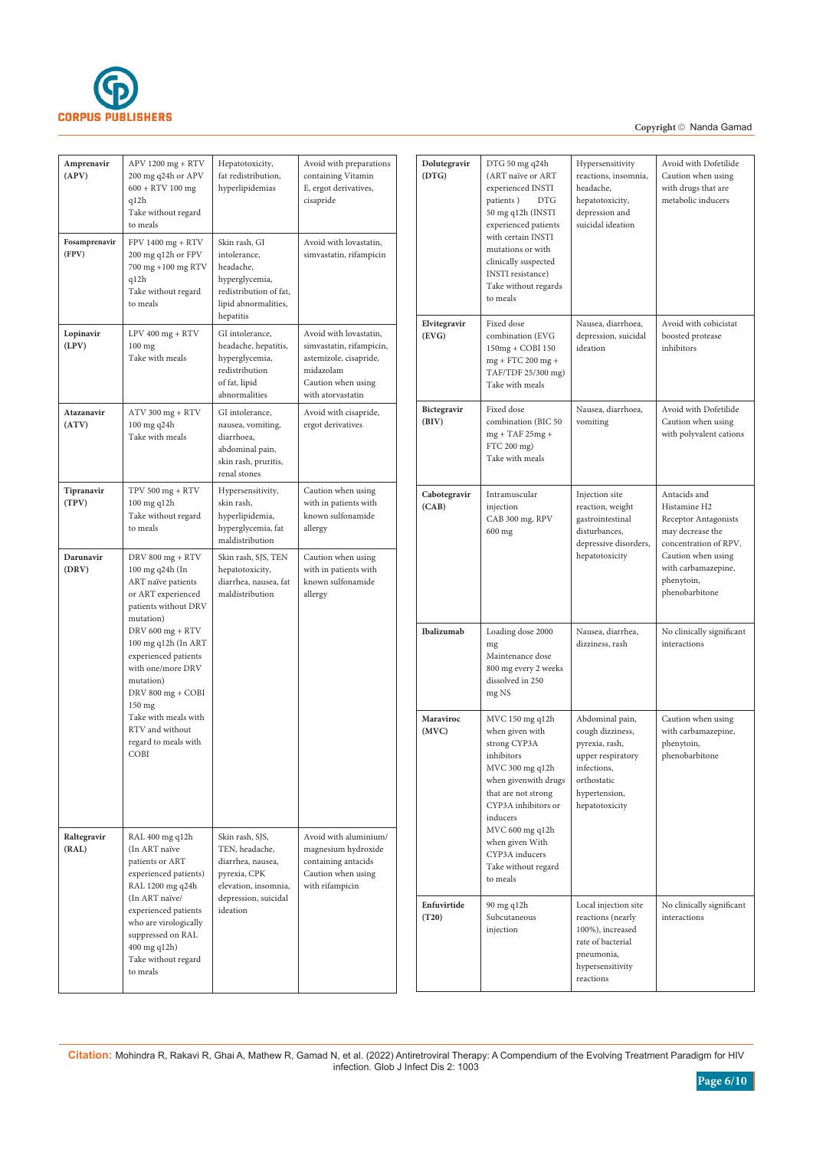

# Copyright © Nanda Gamad

| Amprenavir<br>(APV)    | APV 1200 mg + RTV<br>200 mg q24h or APV<br>$600 + RTV 100$ mg<br>q12h<br>Take without regard<br>to meals                                                                                                                                                                                                                            | Hepatotoxicity,<br>fat redistribution,<br>hyperlipidemias                                                                          | Avoid with preparations<br>containing Vitamin<br>E, ergot derivatives,<br>cisapride                                                  |
|------------------------|-------------------------------------------------------------------------------------------------------------------------------------------------------------------------------------------------------------------------------------------------------------------------------------------------------------------------------------|------------------------------------------------------------------------------------------------------------------------------------|--------------------------------------------------------------------------------------------------------------------------------------|
| Fosamprenavir<br>(FPV) | $FPV 1400 mg + RTV$<br>200 mg q12h or FPV<br>700 mg +100 mg RTV<br>q12h<br>Take without regard<br>to meals                                                                                                                                                                                                                          | Skin rash, GI<br>intolerance.<br>headache,<br>hyperglycemia,<br>redistribution of fat,<br>lipid abnormalities,<br>hepatitis        | Avoid with lovastatin,<br>simvastatin, rifampicin                                                                                    |
| Lopinavir<br>(LPV)     | $LPV$ 400 mg + $RTV$<br>$100$ mg<br>Take with meals                                                                                                                                                                                                                                                                                 | GI intolerance,<br>headache, hepatitis,<br>hyperglycemia,<br>redistribution<br>of fat, lipid<br>abnormalities                      | Avoid with lovastatin,<br>simvastatin, rifampicin,<br>astemizole, cisapride,<br>midazolam<br>Caution when using<br>with atorvastatin |
| Atazanavir<br>(ATV)    | ATV 300 mg + RTV<br>100 mg q24h<br>Take with meals                                                                                                                                                                                                                                                                                  | GI intolerance,<br>nausea, vomiting,<br>diarrhoea,<br>abdominal pain,<br>skin rash, pruritis,<br>renal stones                      | Avoid with cisapride,<br>ergot derivatives                                                                                           |
| Tipranavir<br>(TPV)    | $TPV$ 500 mg + $RTV$<br>100 mg q12h<br>Take without regard<br>to meals                                                                                                                                                                                                                                                              | Hypersensitivity,<br>skin rash,<br>hyperlipidemia,<br>hyperglycemia, fat<br>maldistribution                                        | Caution when using<br>with in patients with<br>known sulfonamide<br>allergy                                                          |
| Darunavir<br>(DRV)     | DRV 800 mg + RTV<br>100 mg q24h (In<br>ART naïve patients<br>or ART experienced<br>patients without DRV<br>mutation)<br>DRV 600 mg + RTV<br>100 mg q12h (In ART<br>experienced patients<br>with one/more DRV<br>mutation)<br>DRV 800 mg + COBI<br>150 mg<br>Take with meals with<br>RTV and without<br>regard to meals with<br>COBI | Skin rash, SJS, TEN<br>hepatotoxicity,<br>diarrhea, nausea, fat<br>maldistribution                                                 | Caution when using<br>with in patients with<br>known sulfonamide<br>allergy                                                          |
| Raltegravir<br>(RAL)   | RAL 400 mg q12h<br>(In ART naïve<br>patients or ART<br>experienced patients)<br>RAL 1200 mg q24h<br>(In ART naïve/<br>experienced patients<br>who are virologically<br>suppressed on RAL<br>400 mg q12h)<br>Take without regard<br>to meals                                                                                         | Skin rash, SJS,<br>TEN, headache,<br>diarrhea, nausea,<br>pyrexia, CPK<br>elevation, insomnia,<br>depression, suicidal<br>ideation | Avoid with aluminium/<br>magnesium hydroxide<br>containing antacids<br>Caution when using<br>with rifampicin                         |

| Dolutegravir          | DTG 50 mg q24h                                                                                                                                                                                                                                                   | Hypersensitivity                                                                                                                            | Avoid with Dofetilide                                                                                                                                                          |
|-----------------------|------------------------------------------------------------------------------------------------------------------------------------------------------------------------------------------------------------------------------------------------------------------|---------------------------------------------------------------------------------------------------------------------------------------------|--------------------------------------------------------------------------------------------------------------------------------------------------------------------------------|
| (DTG)                 | (ART naïve or ART<br>experienced INSTI<br>patients)<br><b>DTG</b><br>50 mg q12h (INSTI<br>experienced patients<br>with certain INSTI<br>mutations or with<br>clinically suspected<br>INSTI resistance)<br>Take without regards<br>to meals                       | reactions, insomnia,<br>headache,<br>hepatotoxicity,<br>depression and<br>suicidal ideation                                                 | Caution when using<br>with drugs that are<br>metabolic inducers                                                                                                                |
| Elvitegravir<br>(EVG) | Fixed dose<br>Nausea, diarrhoea,<br>combination (EVG<br>depression, suicidal<br>ideation<br>inhibitors<br>150mg + COBI 150<br>mg + FTC 200 mg +<br>TAF/TDF 25/300 mg)<br>Take with meals                                                                         |                                                                                                                                             | Avoid with cobicistat<br>boosted protease                                                                                                                                      |
| Bictegravir<br>(BIV)  | Fixed dose<br>combination (BIC 50<br>$mg + TAF 25mg +$<br>FTC 200 mg)<br>Take with meals                                                                                                                                                                         | Nausea, diarrhoea,<br>vomiting                                                                                                              | Avoid with Dofetilide<br>Caution when using<br>with polyvalent cations                                                                                                         |
| Cabotegravir<br>(CAB) | Intramuscular<br>injection<br>CAB 300 mg, RPV<br>600 mg                                                                                                                                                                                                          | Injection site<br>reaction, weight<br>gastrointestinal<br>disturbances.<br>depressive disorders,<br>hepatotoxicity                          | Antacids and<br>Histamine H2<br>Receptor Antagonists<br>may decrease the<br>concentration of RPV.<br>Caution when using<br>with carbamazepine,<br>phenytoin,<br>phenobarbitone |
| Ibalizumab            | Loading dose 2000<br>mg<br>Maintenance dose<br>800 mg every 2 weeks<br>dissolved in 250<br>mg NS                                                                                                                                                                 | Nausea, diarrhea,<br>dizziness, rash                                                                                                        | No clinically significant<br>interactions                                                                                                                                      |
| Maraviroc<br>(MVC)    | MVC 150 mg q12h<br>when given with<br>strong CYP3A<br>inhibitors<br>MVC 300 mg q12h<br>when givenwith drugs<br>that are not strong<br>CYP3A inhibitors or<br>inducers<br>MVC 600 mg q12h<br>when given With<br>CYP3A inducers<br>Take without regard<br>to meals | Abdominal pain,<br>cough dizziness,<br>pyrexia, rash,<br>upper respiratory<br>infections,<br>orthostatic<br>hypertension,<br>hepatotoxicity | Caution when using<br>with carbamazepine,<br>phenytoin,<br>phenobarbitone                                                                                                      |
| Enfuvirtide<br>(T20)  | 90 mg q12h<br>Subcutaneous<br>injection                                                                                                                                                                                                                          | Local injection site<br>reactions (nearly<br>100%), increased<br>rate of bacterial<br>pneumonia,<br>hypersensitivity<br>reactions           | No clinically significant<br>interactions                                                                                                                                      |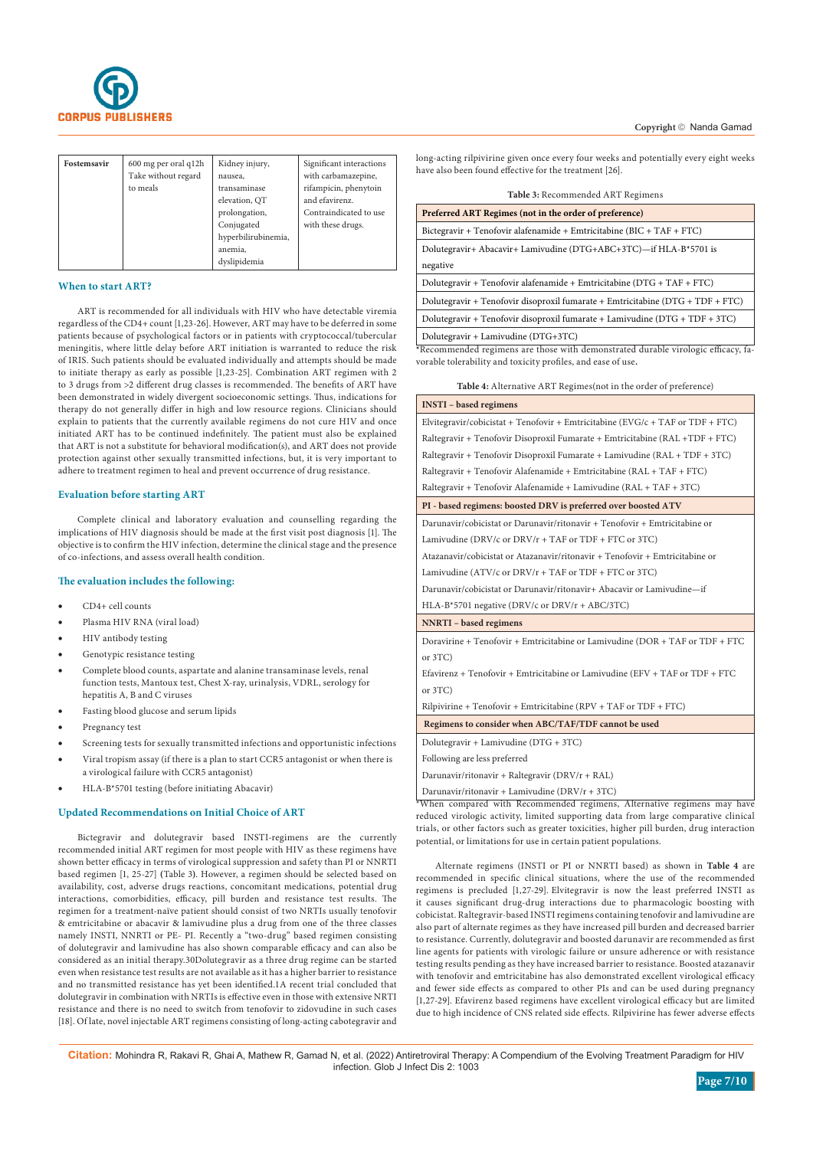

| Fostemsavir | 600 mg per oral q12h<br>Take without regard<br>to meals | Kidney injury,<br>nausea,<br>transaminase<br>elevation, QT<br>prolongation,<br>Conjugated<br>hyperbilirubinemia, | Significant interactions<br>with carbamazepine,<br>rifampicin, phenytoin<br>and efavirenz.<br>Contraindicated to use<br>with these drugs. |
|-------------|---------------------------------------------------------|------------------------------------------------------------------------------------------------------------------|-------------------------------------------------------------------------------------------------------------------------------------------|
|             |                                                         | anemia,<br>dyslipidemia                                                                                          |                                                                                                                                           |

## **When to start ART?**

ART is recommended for all individuals with HIV who have detectable viremia regardless of the CD4+ count [1,23-26]. However, ART may have to be deferred in some patients because of psychological factors or in patients with cryptococcal/tubercular meningitis, where little delay before ART initiation is warranted to reduce the risk of IRIS. Such patients should be evaluated individually and attempts should be made to initiate therapy as early as possible [1,23-25]. Combination ART regimen with 2 to 3 drugs from >2 different drug classes is recommended. The benefits of ART have been demonstrated in widely divergent socioeconomic settings. Thus, indications for therapy do not generally differ in high and low resource regions. Clinicians should explain to patients that the currently available regimens do not cure HIV and once initiated ART has to be continued indefinitely. The patient must also be explained that ART is not a substitute for behavioral modification(s), and ART does not provide protection against other sexually transmitted infections, but, it is very important to adhere to treatment regimen to heal and prevent occurrence of drug resistance.

# **Evaluation before starting ART**

Complete clinical and laboratory evaluation and counselling regarding the implications of HIV diagnosis should be made at the first visit post diagnosis [1]. The objective is to confirm the HIV infection, determine the clinical stage and the presence of co-infections, and assess overall health condition.

## **The evaluation includes the following:**

- CD4+ cell counts
- Plasma HIV RNA (viral load)
- HIV antibody testing
- Genotypic resistance testing
- Complete blood counts, aspartate and alanine transaminase levels, renal function tests, Mantoux test, Chest X-ray, urinalysis, VDRL, serology for hepatitis A, B and C viruses
- Fasting blood glucose and serum lipids
- Pregnancy test
- Screening tests for sexually transmitted infections and opportunistic infections
- Viral tropism assay (if there is a plan to start CCR5 antagonist or when there is a virological failure with CCR5 antagonist)
- HLA-B\*5701 testing (before initiating Abacavir)

## **Updated Recommendations on Initial Choice of ART**

Bictegravir and dolutegravir based INSTI-regimens are the currently recommended initial ART regimen for most people with HIV as these regimens have shown better efficacy in terms of virological suppression and safety than PI or NNRTI based regimen [1, 25-27] **(**Table 3**)**. However, a regimen should be selected based on availability, cost, adverse drugs reactions, concomitant medications, potential drug interactions, comorbidities, efficacy, pill burden and resistance test results. The regimen for a treatment-naïve patient should consist of two NRTIs usually tenofovir & emtricitabine or abacavir & lamivudine plus a drug from one of the three classes namely INSTI, NNRTI or PE- PI. Recently a "two-drug" based regimen consisting of dolutegravir and lamivudine has also shown comparable efficacy and can also be considered as an initial therapy.30Dolutegravir as a three drug regime can be started even when resistance test results are not available as it has a higher barrier to resistance and no transmitted resistance has yet been identified.1A recent trial concluded that dolutegravir in combination with NRTIs is effective even in those with extensive NRTI resistance and there is no need to switch from tenofovir to zidovudine in such cases [18]. Of late, novel injectable ART regimens consisting of long-acting cabotegravir and long-acting rilpivirine given once every four weeks and potentially every eight weeks have also been found effective for the treatment [26].

| Table 3: Recommended ART Regimens |  |  |
|-----------------------------------|--|--|
|-----------------------------------|--|--|

| Preferred ART Regimes (not in the order of preference)                 |
|------------------------------------------------------------------------|
| Bictegravir + Tenofovir alafenamide + Emtricitabine (BIC + TAF + FTC)  |
| Dolutegravir+ Abacavir+ Lamivudine (DTG+ABC+3TC)—if HLA-B*5701 is      |
| negative                                                               |
| Dolutegravir + Tenofovir alafenamide + Emtricitabine (DTG + TAF + FTC) |
|                                                                        |

Dolutegravir + Tenofovir disoproxil fumarate + Emtricitabine (DTG + TDF + FTC) Dolutegravir + Tenofovir disoproxil fumarate + Lamivudine (DTG + TDF + 3TC)

Dolutegravir + Lamivudine (DTG+3TC)

**\***Recommended regimens are those with demonstrated durable virologic efficacy, favorable tolerability and toxicity profiles, and ease of use**.**

| <b>INSTI</b> - based regimens                                                     |
|-----------------------------------------------------------------------------------|
| Elvitegravir/cobicistat + Tenofovir + Emtricitabine ( $EVG/c$ + TAF or TDF + FTC) |
| Raltegravir + Tenofovir Disoproxil Fumarate + Emtricitabine (RAL +TDF + FTC)      |
| Raltegravir + Tenofovir Disoproxil Fumarate + Lamivudine (RAL + TDF + 3TC)        |
| Raltegravir + Tenofovir Alafenamide + Emtricitabine (RAL + TAF + FTC)             |
| Raltegravir + Tenofovir Alafenamide + Lamivudine (RAL + TAF + 3TC)                |
| PI - based regimens: boosted DRV is preferred over boosted ATV                    |
| Darunavir/cobicistat or Darunavir/ritonavir + Tenofovir + Emtricitabine or        |
| Lamivudine (DRV/c or $DRV/r + TAF$ or $TDF + FTC$ or $3TC$ )                      |
| Atazanavir/cobicistat or Atazanavir/ritonavir + Tenofovir + Emtricitabine or      |
| Lamivudine (ATV/c or $DRV/r + TAF$ or $TDF + FTC$ or $3TC$ )                      |
| Darunavir/cobicistat or Darunavir/ritonavir+ Abacavir or Lamivudine-if            |
| $HLA-B*5701$ negative (DRV/c or DRV/r + ABC/3TC)                                  |
| <b>NNRTI</b> - based regimens                                                     |
| Doravirine + Tenofovir + Emtricitabine or Lamivudine (DOR + TAF or TDF + FTC      |
| or 3TC                                                                            |
| Efavirenz + Tenofovir + Emtricitabine or Lamivudine (EFV + TAF or TDF + FTC)      |
| or 3TC)                                                                           |
| Rilpivirine + Tenofovir + Emtricitabine (RPV + TAF or TDF + FTC)                  |
| Regimens to consider when ABC/TAF/TDF cannot be used                              |
| Dolutegravir + Lamivudine (DTG + 3TC)                                             |
| Following are less preferred                                                      |
| Darunavir/ritonavir + Raltegravir (DRV/r + RAL)                                   |
| Darunavir/ritonavir + Lamivudine ( $DRV/r + 3TC$ )                                |
| *When compared with Recommended regimens, Alternative regimens may have           |

\*When compared with Recommended regimens, Alternative regimens may have reduced virologic activity, limited supporting data from large comparative clinical trials, or other factors such as greater toxicities, higher pill burden, drug interaction potential, or limitations for use in certain patient populations.

Alternate regimens (INSTI or PI or NNRTI based) as shown in **Table 4** are recommended in specific clinical situations, where the use of the recommended regimens is precluded [1,27-29]. Elvitegravir is now the least preferred INSTI as it causes significant drug-drug interactions due to pharmacologic boosting with cobicistat. Raltegravir-based INSTI regimens containing tenofovir and lamivudine are also part of alternate regimes as they have increased pill burden and decreased barrier to resistance. Currently, dolutegravir and boosted darunavir are recommended as first line agents for patients with virologic failure or unsure adherence or with resistance testing results pending as they have increased barrier to resistance. Boosted atazanavir with tenofovir and emtricitabine has also demonstrated excellent virological efficacy and fewer side effects as compared to other PIs and can be used during pregnancy [1,27-29]. Efavirenz based regimens have excellent virological efficacy but are limited due to high incidence of CNS related side effects. Rilpivirine has fewer adverse effects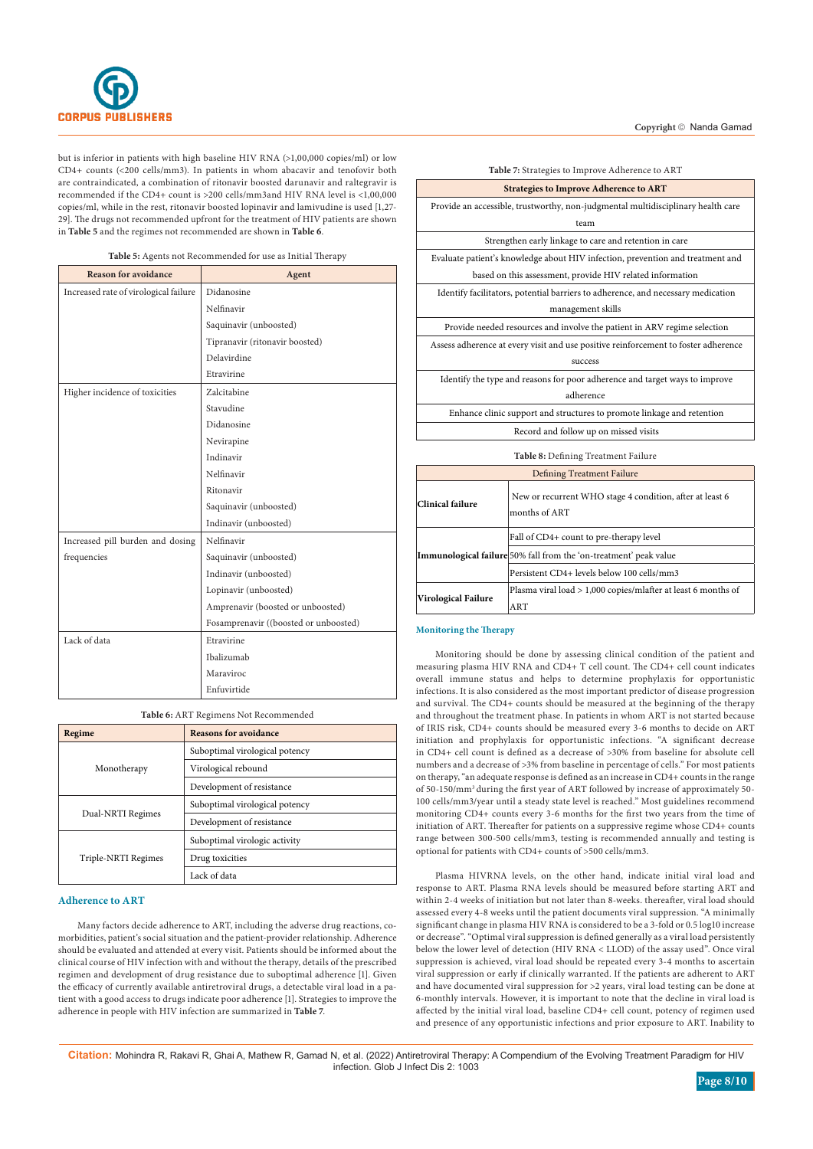

but is inferior in patients with high baseline HIV RNA (>1,00,000 copies/ml) or low CD4+ counts (<200 cells/mm3). In patients in whom abacavir and tenofovir both are contraindicated, a combination of ritonavir boosted darunavir and raltegravir is recommended if the CD4+ count is >200 cells/mm3and HIV RNA level is <1,00,000 copies/ml, while in the rest, ritonavir boosted lopinavir and lamivudine is used [1,27- 29]. The drugs not recommended upfront for the treatment of HIV patients are shown in **Table 5** and the regimes not recommended are shown in **Table 6**.

| Table 5: Agents not Recommended for use as Initial Therapy |  |  |  |
|------------------------------------------------------------|--|--|--|
|------------------------------------------------------------|--|--|--|

| <b>Reason for avoidance</b>           | Agent                                 |
|---------------------------------------|---------------------------------------|
| Increased rate of virological failure | Didanosine                            |
|                                       | Nelfinavir                            |
|                                       | Saquinavir (unboosted)                |
|                                       | Tipranavir (ritonavir boosted)        |
|                                       | Delavirdine                           |
|                                       | Etravirine                            |
| Higher incidence of toxicities        | Zalcitabine                           |
|                                       | Stavudine                             |
|                                       | Didanosine                            |
|                                       | Nevirapine                            |
|                                       | Indinavir                             |
|                                       | Nelfinavir                            |
|                                       | Ritonavir                             |
|                                       | Saquinavir (unboosted)                |
|                                       | Indinavir (unboosted)                 |
| Increased pill burden and dosing      | Nelfinavir                            |
| frequencies                           | Saquinavir (unboosted)                |
|                                       | Indinavir (unboosted)                 |
|                                       | Lopinavir (unboosted)                 |
|                                       | Amprenavir (boosted or unboosted)     |
|                                       | Fosamprenavir ((boosted or unboosted) |
| Lack of data                          | Etravirine                            |
|                                       | Ibalizumab                            |
|                                       | Maraviroc                             |
|                                       | Enfuvirtide                           |

**Table 6:** ART Regimens Not Recommended

| Regime              | <b>Reasons for avoidance</b>   |
|---------------------|--------------------------------|
| Monotherapy         | Suboptimal virological potency |
|                     | Virological rebound            |
|                     | Development of resistance      |
| Dual-NRTI Regimes   | Suboptimal virological potency |
|                     | Development of resistance      |
| Triple-NRTI Regimes | Suboptimal virologic activity  |
|                     | Drug toxicities                |
|                     | Lack of data                   |

## **Adherence to ART**

Many factors decide adherence to ART, including the adverse drug reactions, comorbidities, patient's social situation and the patient-provider relationship. Adherence should be evaluated and attended at every visit. Patients should be informed about the clinical course of HIV infection with and without the therapy, details of the prescribed regimen and development of drug resistance due to suboptimal adherence [1]. Given the efficacy of currently available antiretroviral drugs, a detectable viral load in a patient with a good access to drugs indicate poor adherence [1]. Strategies to improve the adherence in people with HIV infection are summarized in **Table 7**.

| Table 7: Strategies to Improve Adherence to ART |  |  |  |  |
|-------------------------------------------------|--|--|--|--|
|-------------------------------------------------|--|--|--|--|

|                                                                                    | <b>Strategies to Improve Adherence to ART</b>                               |  |  |
|------------------------------------------------------------------------------------|-----------------------------------------------------------------------------|--|--|
| Provide an accessible, trustworthy, non-judgmental multidisciplinary health care   |                                                                             |  |  |
| team                                                                               |                                                                             |  |  |
| Strengthen early linkage to care and retention in care                             |                                                                             |  |  |
| Evaluate patient's knowledge about HIV infection, prevention and treatment and     |                                                                             |  |  |
| based on this assessment, provide HIV related information                          |                                                                             |  |  |
| Identify facilitators, potential barriers to adherence, and necessary medication   |                                                                             |  |  |
| management skills                                                                  |                                                                             |  |  |
| Provide needed resources and involve the patient in ARV regime selection           |                                                                             |  |  |
| Assess adherence at every visit and use positive reinforcement to foster adherence |                                                                             |  |  |
| success                                                                            |                                                                             |  |  |
|                                                                                    | Identify the type and reasons for poor adherence and target ways to improve |  |  |
|                                                                                    | adherence                                                                   |  |  |
| Enhance clinic support and structures to promote linkage and retention             |                                                                             |  |  |
| Record and follow up on missed visits                                              |                                                                             |  |  |
| Table 8: Defining Treatment Failure                                                |                                                                             |  |  |
| <b>Defining Treatment Failure</b>                                                  |                                                                             |  |  |
| Clinical failure                                                                   | New or recurrent WHO stage 4 condition, after at least 6<br>months of ART   |  |  |
|                                                                                    | Fall of CD4+ count to pre-therapy level                                     |  |  |
|                                                                                    | Immunological failure 50% fall from the 'on-treatment' peak value           |  |  |
|                                                                                    | Persistent CD4+ levels below 100 cells/mm3                                  |  |  |
| Virological Failure                                                                | Plasma viral load > 1,000 copies/mlafter at least 6 months of               |  |  |

#### **Monitoring the Therapy**

ART

Monitoring should be done by assessing clinical condition of the patient and measuring plasma HIV RNA and CD4+ T cell count. The CD4+ cell count indicates overall immune status and helps to determine prophylaxis for opportunistic infections. It is also considered as the most important predictor of disease progression and survival. The CD4+ counts should be measured at the beginning of the therapy and throughout the treatment phase. In patients in whom ART is not started because of IRIS risk, CD4+ counts should be measured every 3-6 months to decide on ART initiation and prophylaxis for opportunistic infections. "A significant decrease in CD4+ cell count is defined as a decrease of >30% from baseline for absolute cell numbers and a decrease of >3% from baseline in percentage of cells." For most patients on therapy, "an adequate response is defined as an increase in CD4+ counts in the range of 50-150/mm3 during the first year of ART followed by increase of approximately 50- 100 cells/mm3/year until a steady state level is reached." Most guidelines recommend monitoring CD4+ counts every 3-6 months for the first two years from the time of initiation of ART. Thereafter for patients on a suppressive regime whose CD4+ counts range between 300-500 cells/mm3, testing is recommended annually and testing is optional for patients with CD4+ counts of >500 cells/mm3.

Plasma HIVRNA levels, on the other hand, indicate initial viral load and response to ART. Plasma RNA levels should be measured before starting ART and within 2-4 weeks of initiation but not later than 8-weeks. thereafter, viral load should assessed every 4-8 weeks until the patient documents viral suppression. "A minimally significant change in plasma HIV RNA is considered to be a 3-fold or 0.5 log10 increase or decrease". "Optimal viral suppression is defined generally as a viral load persistently below the lower level of detection (HIV RNA < LLOD) of the assay used". Once viral suppression is achieved, viral load should be repeated every 3-4 months to ascertain viral suppression or early if clinically warranted. If the patients are adherent to ART and have documented viral suppression for >2 years, viral load testing can be done at 6-monthly intervals. However, it is important to note that the decline in viral load is affected by the initial viral load, baseline CD4+ cell count, potency of regimen used and presence of any opportunistic infections and prior exposure to ART. Inability to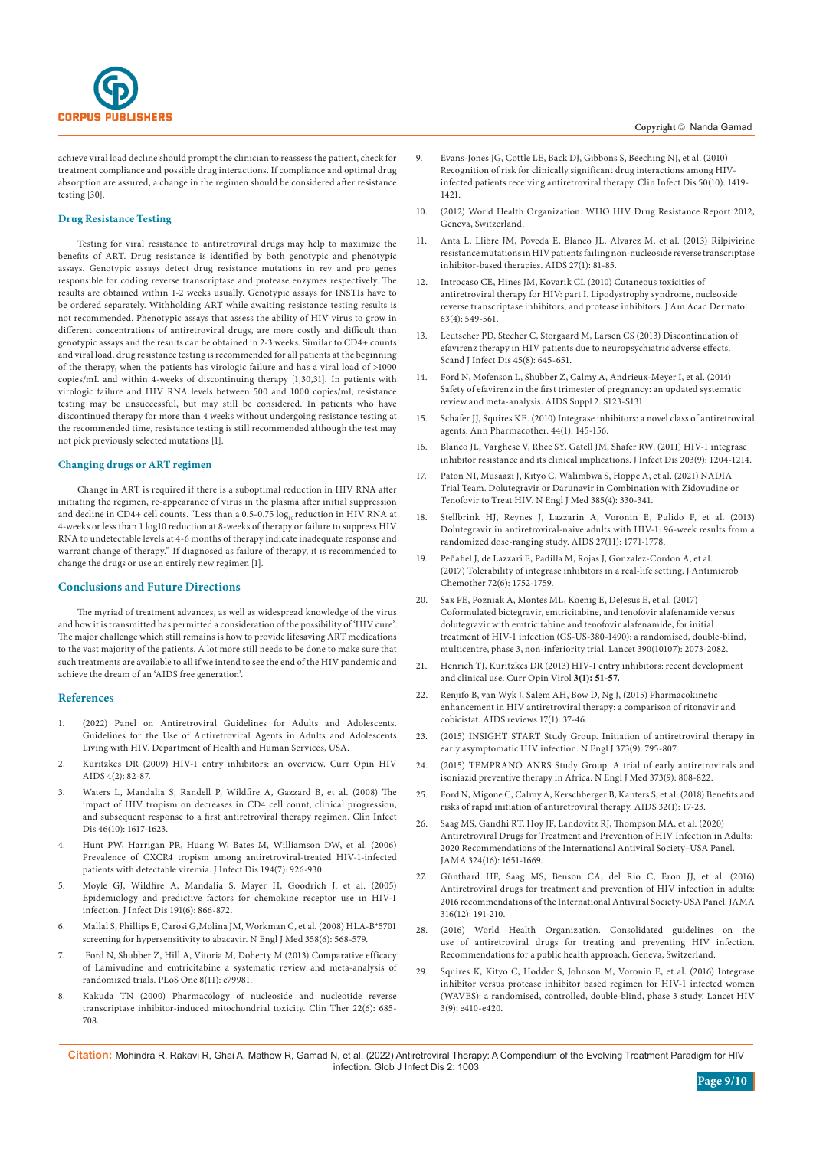

achieve viral load decline should prompt the clinician to reassess the patient, check for treatment compliance and possible drug interactions. If compliance and optimal drug absorption are assured, a change in the regimen should be considered after resistance testing [30].

# **Drug Resistance Testing**

Testing for viral resistance to antiretroviral drugs may help to maximize the benefits of ART. Drug resistance is identified by both genotypic and phenotypic assays. Genotypic assays detect drug resistance mutations in rev and pro genes responsible for coding reverse transcriptase and protease enzymes respectively. The results are obtained within 1-2 weeks usually. Genotypic assays for INSTIs have to be ordered separately. Withholding ART while awaiting resistance testing results is not recommended. Phenotypic assays that assess the ability of HIV virus to grow in different concentrations of antiretroviral drugs, are more costly and difficult than genotypic assays and the results can be obtained in 2-3 weeks. Similar to CD4+ counts and viral load, drug resistance testing is recommended for all patients at the beginning of the therapy, when the patients has virologic failure and has a viral load of >1000 copies/mL and within 4-weeks of discontinuing therapy [1,30,31]. In patients with virologic failure and HIV RNA levels between 500 and 1000 copies/ml, resistance testing may be unsuccessful, but may still be considered. In patients who have discontinued therapy for more than 4 weeks without undergoing resistance testing at the recommended time, resistance testing is still recommended although the test may not pick previously selected mutations [1].

#### **Changing drugs or ART regimen**

Change in ART is required if there is a suboptimal reduction in HIV RNA after initiating the regimen, re-appearance of virus in the plasma after initial suppression and decline in CD4+ cell counts. "Less than a 0.5-0.75  $\log_{10}$  reduction in HIV RNA at 4-weeks or less than 1 log10 reduction at 8-weeks of therapy or failure to suppress HIV RNA to undetectable levels at 4-6 months of therapy indicate inadequate response and warrant change of therapy." If diagnosed as failure of therapy, it is recommended to change the drugs or use an entirely new regimen [1].

#### **Conclusions and Future Directions**

The myriad of treatment advances, as well as widespread knowledge of the virus and how it is transmitted has permitted a consideration of the possibility of 'HIV cure'. The major challenge which still remains is how to provide lifesaving ART medications to the vast majority of the patients. A lot more still needs to be done to make sure that such treatments are available to all if we intend to see the end of the HIV pandemic and achieve the dream of an 'AIDS free generation'.

#### **References**

- 1. [\(2022\) Panel on Antiretroviral Guidelines for Adults and Adolescents.](https://clinicalinfo.hiv.gov/sites/default/files/guidelines/documents/guidelines-adult-adolescent-arv.pdf)  [Guidelines for the Use of Antiretroviral Agents in Adults and Adolescents](https://clinicalinfo.hiv.gov/sites/default/files/guidelines/documents/guidelines-adult-adolescent-arv.pdf)  [Living with HIV. Department of Health and Human Services, USA.](https://clinicalinfo.hiv.gov/sites/default/files/guidelines/documents/guidelines-adult-adolescent-arv.pdf)
- 2. [Kuritzkes DR \(2009\) HIV-1 entry inhibitors: an overview. Curr Opin HIV](https://pubmed.ncbi.nlm.nih.gov/19339945/)  [AIDS 4\(2\): 82-87.](https://pubmed.ncbi.nlm.nih.gov/19339945/)
- 3. [Waters L, Mandalia S, Randell P, Wildfire A, Gazzard B, et al. \(2008\) The](https://academic.oup.com/cid/article/46/10/1617/295457)  [impact of HIV tropism on decreases in CD4 cell count, clinical progression,](https://academic.oup.com/cid/article/46/10/1617/295457)  and subsequent response to a first antiretroviral therapy regimen. Clin Infect [Dis 46\(10\): 1617-1623.](https://academic.oup.com/cid/article/46/10/1617/295457)
- 4. [Hunt PW, Harrigan PR, Huang W, Bates M, Williamson DW, et al. \(2006\)](https://pubmed.ncbi.nlm.nih.gov/16960780/)  [Prevalence of CXCR4 tropism among antiretroviral-treated HIV-1-infected](https://pubmed.ncbi.nlm.nih.gov/16960780/)  [patients with detectable viremia. J Infect Dis 194\(7\): 926-930.](https://pubmed.ncbi.nlm.nih.gov/16960780/)
- 5. [Moyle GJ, Wildfire A, Mandalia S, Mayer H, Goodrich J, et al. \(2005\)](https://pubmed.ncbi.nlm.nih.gov/15717260/)  [Epidemiology and predictive factors for chemokine receptor use in HIV-1](https://pubmed.ncbi.nlm.nih.gov/15717260/)  [infection. J Infect Dis 191\(6\): 866-872.](https://pubmed.ncbi.nlm.nih.gov/15717260/)
- 6. [Mallal S, Phillips E, Carosi G,Molina JM, Workman C, et al. \(2008\) HLA-B\\*5701](https://pubmed.ncbi.nlm.nih.gov/18256392/)  [screening for hypersensitivity to abacavir. N Engl J Med 358\(6\): 568-579.](https://pubmed.ncbi.nlm.nih.gov/18256392/)
- 7. [Ford N, Shubber Z, Hill A, Vitoria M, Doherty M \(2013\) Comparative efficacy](https://pubmed.ncbi.nlm.nih.gov/24244586/)  [of Lamivudine and emtricitabine a systematic review and meta-analysis of](https://pubmed.ncbi.nlm.nih.gov/24244586/)  [randomized trials. PLoS One 8\(11\): e79981.](https://pubmed.ncbi.nlm.nih.gov/24244586/)
- 8. [Kakuda TN \(2000\) Pharmacology of nucleoside and nucleotide reverse](https://pubmed.ncbi.nlm.nih.gov/10929917/)  [transcriptase inhibitor-induced mitochondrial toxicity. Clin Ther 22\(6\): 685-](https://pubmed.ncbi.nlm.nih.gov/10929917/) [708.](https://pubmed.ncbi.nlm.nih.gov/10929917/)

#### Copyright © Nanda Gamad

- 9. [Evans-Jones JG, Cottle LE, Back DJ, Gibbons S, Beeching NJ, et al. \(2010\)](https://pubmed.ncbi.nlm.nih.gov/20380564/)  [Recognition of risk for clinically significant drug interactions among HIV](https://pubmed.ncbi.nlm.nih.gov/20380564/)[infected patients receiving antiretroviral therapy. Clin Infect Dis 50\(10\): 1419-](https://pubmed.ncbi.nlm.nih.gov/20380564/) [1421.](https://pubmed.ncbi.nlm.nih.gov/20380564/)
- 10. [\(2012\) World Health Organization. WHO HIV Drug Resistance Report 2012,](https://apps.who.int/iris/bitstream/handle/10665/75183/9789241503938_eng.pdf)  [Geneva, Switzerland.](https://apps.who.int/iris/bitstream/handle/10665/75183/9789241503938_eng.pdf)
- 11. [Anta L, Llibre JM, Poveda E, Blanco JL, Alvarez M, et al. \(2013\) Rilpivirine](https://pubmed.ncbi.nlm.nih.gov/22842995/)  [resistance mutations in HIV patients failing non-nucleoside reverse transcriptase](https://pubmed.ncbi.nlm.nih.gov/22842995/)  [inhibitor-based therapies. AIDS 27\(1\): 81-85.](https://pubmed.ncbi.nlm.nih.gov/22842995/)
- 12. [Introcaso CE, Hines JM, Kovarik CL \(2010\) Cutaneous toxicities of](https://pubmed.ncbi.nlm.nih.gov/20846563/)  [antiretroviral therapy for HIV: part I. Lipodystrophy syndrome, nucleoside](https://pubmed.ncbi.nlm.nih.gov/20846563/)  [reverse transcriptase inhibitors, and protease inhibitors. J Am Acad Dermatol](https://pubmed.ncbi.nlm.nih.gov/20846563/)  [63\(4\): 549-561.](https://pubmed.ncbi.nlm.nih.gov/20846563/)
- 13. [Leutscher PD, Stecher C, Storgaard M, Larsen CS \(2013\) Discontinuation of](https://pubmed.ncbi.nlm.nih.gov/23427878/)  [efavirenz therapy in HIV patients due to neuropsychiatric adverse effects.](https://pubmed.ncbi.nlm.nih.gov/23427878/)  [Scand J Infect Dis 45\(8\): 645-651.](https://pubmed.ncbi.nlm.nih.gov/23427878/)
- 14. [Ford N, Mofenson L, Shubber Z, Calmy A, Andrieux-Meyer I, et al. \(2014\)](https://pubmed.ncbi.nlm.nih.gov/24849471/)  [Safety of efavirenz in the first trimester of pregnancy: an updated systematic](https://pubmed.ncbi.nlm.nih.gov/24849471/)  [review and meta-analysis. AIDS](https://pubmed.ncbi.nlm.nih.gov/24849471/) Suppl 2: S123-S131.
- 15. [Schafer JJ, Squires KE. \(2010\) Integrase inhibitors: a novel class of antiretroviral](https://pubmed.ncbi.nlm.nih.gov/20040702/)  [agents. Ann Pharmacother. 44\(1\): 145-156.](https://pubmed.ncbi.nlm.nih.gov/20040702/)
- 16. [Blanco JL, Varghese V, Rhee SY, Gatell JM, Shafer RW. \(2011\) HIV-1 integrase](https://pubmed.ncbi.nlm.nih.gov/21459813/)  [inhibitor resistance and its clinical implications. J Infect Dis 203\(9\): 1204-1214.](https://pubmed.ncbi.nlm.nih.gov/21459813/)
- 17. [Paton NI, Musaazi J, Kityo C, Walimbwa S, Hoppe A, et al. \(2021\) NADIA](https://pubmed.ncbi.nlm.nih.gov/34289276/)  [Trial Team. Dolutegravir or Darunavir in Combination with Zidovudine or](https://pubmed.ncbi.nlm.nih.gov/34289276/)  [Tenofovir to Treat HIV. N Engl J Med 385\(4\): 330-341.](https://pubmed.ncbi.nlm.nih.gov/34289276/)
- 18. [Stellbrink HJ, Reynes J, Lazzarin A, Voronin E, Pulido F, et al. \(2013\)](https://pubmed.ncbi.nlm.nih.gov/23807273/)  [Dolutegravir in antiretroviral-naive adults with HIV-1: 96-week results from a](https://pubmed.ncbi.nlm.nih.gov/23807273/)  [randomized dose-ranging study. AIDS 27\(11\): 1771-1778.](https://pubmed.ncbi.nlm.nih.gov/23807273/)
- 19. [Peñafiel J, de Lazzari E, Padilla M, Rojas J, Gonzalez-Cordon A, et al.](https://pubmed.ncbi.nlm.nih.gov/28333231/)  [\(2017\) Tolerability of integrase inhibitors in a real-life setting. J Antimicrob](https://pubmed.ncbi.nlm.nih.gov/28333231/)  [Chemother 72\(6\): 1752-1759.](https://pubmed.ncbi.nlm.nih.gov/28333231/)
- 20. [Sax PE, Pozniak A, Montes ML, Koenig E, DeJesus E, et al. \(2017\)](https://pubmed.ncbi.nlm.nih.gov/28867499/)  [Coformulated bictegravir, emtricitabine, and tenofovir alafenamide versus](https://pubmed.ncbi.nlm.nih.gov/28867499/)  [dolutegravir with emtricitabine and tenofovir alafenamide, for initial](https://pubmed.ncbi.nlm.nih.gov/28867499/)  [treatment of HIV-1 infection \(GS-US-380-1490\): a randomised, double-blind,](https://pubmed.ncbi.nlm.nih.gov/28867499/)  [multicentre, phase 3, non-inferiority trial. Lancet 390\(10107\): 2073-2082.](https://pubmed.ncbi.nlm.nih.gov/28867499/)
- 21. [Henrich TJ, Kuritzkes DR \(2013\) HIV-1 entry inhibitors: recent development](https://pubmed.ncbi.nlm.nih.gov/23290628/)  [and clinical use. Curr Opin Virol](https://pubmed.ncbi.nlm.nih.gov/23290628/) **3(1): 51-57.**
- 22. [Renjifo B, van Wyk J, Salem AH, Bow D, Ng J, \(2015\) Pharmacokinetic](https://pubmed.ncbi.nlm.nih.gov/25586481/)  [enhancement in HIV antiretroviral therapy: a comparison of ritonavir and](https://pubmed.ncbi.nlm.nih.gov/25586481/)  [cobicistat. AIDS reviews 17\(1\): 37-46.](https://pubmed.ncbi.nlm.nih.gov/25586481/)
- 23. [\(2015\) INSIGHT START Study Group. Initiation of antiretroviral therapy in](https://pubmed.ncbi.nlm.nih.gov/26192873/)  [early asymptomatic HIV infection. N Engl J 373\(9\): 795-807.](https://pubmed.ncbi.nlm.nih.gov/26192873/)
- 24. [\(2015\) TEMPRANO ANRS Study Group. A trial of early antiretrovirals and](https://pubmed.ncbi.nlm.nih.gov/26193126/)  [isoniazid preventive therapy in Africa. N Engl J Med 373\(9\): 808-822.](https://pubmed.ncbi.nlm.nih.gov/26193126/)
- 25. [Ford N, Migone C, Calmy A, Kerschberger B, Kanters S, et al. \(2018\) Benefits and](https://pubmed.ncbi.nlm.nih.gov/29112073/)  [risks of rapid initiation of antiretroviral therapy. AIDS 32\(1\): 17-23.](https://pubmed.ncbi.nlm.nih.gov/29112073/)
- 26. [Saag MS, Gandhi RT, Hoy JF, Landovitz RJ, Thompson MA, et al. \(2020\)](https://jamanetwork.com/journals/jama/article-abstract/2771873)  [Antiretroviral Drugs for Treatment and Prevention of HIV Infection in Adults:](https://jamanetwork.com/journals/jama/article-abstract/2771873)  [2020 Recommendations of the International Antiviral Society–USA Panel.](https://jamanetwork.com/journals/jama/article-abstract/2771873)  [JAMA 324\(16\): 1651-1669.](https://jamanetwork.com/journals/jama/article-abstract/2771873)
- 27. [Günthard HF, Saag MS, Benson CA, del Rio C, Eron JJ, et al. \(2016\)](https://pubmed.ncbi.nlm.nih.gov/27404187/)  [Antiretroviral drugs for treatment and prevention of HIV infection in adults:](https://pubmed.ncbi.nlm.nih.gov/27404187/)  [2016 recommendations of the International Antiviral Society-USA Panel. JAMA](https://pubmed.ncbi.nlm.nih.gov/27404187/)  [316\(12\): 191-210.](https://pubmed.ncbi.nlm.nih.gov/27404187/)
- 28. [\(2016\) World Health Organization. Consolidated guidelines on the](https://www.who.int/publications/i/item/9789241549684)  [use of antiretroviral drugs for treating and preventing HIV infection.](https://www.who.int/publications/i/item/9789241549684)  [Recommendations for a public health approach, Geneva, Switzerland.](https://www.who.int/publications/i/item/9789241549684)
- 29. [Squires K, Kityo C, Hodder S, Johnson M, Voronin E, et al. \(2016\) Integrase](https://pubmed.ncbi.nlm.nih.gov/27562742/)  [inhibitor versus protease inhibitor based regimen for HIV-1 infected women](https://pubmed.ncbi.nlm.nih.gov/27562742/)  [\(WAVES\): a randomised, controlled, double-blind, phase 3 study. Lancet HIV](https://pubmed.ncbi.nlm.nih.gov/27562742/)  [3\(9\): e410-e420.](https://pubmed.ncbi.nlm.nih.gov/27562742/)